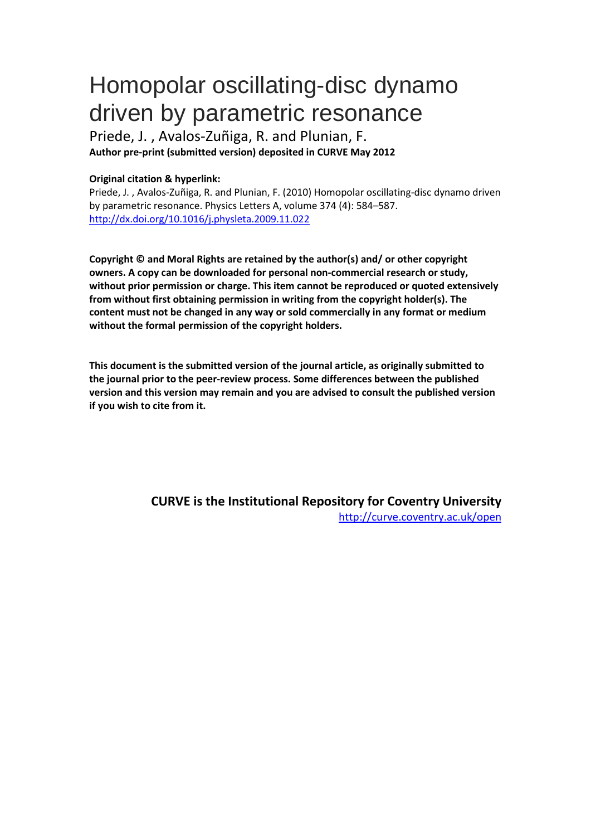## Homopolar oscillating-disc dynamo driven by parametric resonance

Priede, J. , Avalos-Zuñiga, R. and Plunian, F. **Author pre-print (submitted version) deposited in CURVE May 2012**

## **Original citation & hyperlink:**

Priede, J. , Avalos-Zuñiga, R. and Plunian, F. (2010) Homopolar oscillating-disc dynamo driven by parametric resonance. Physics Letters A, volume 374 (4): 584–587. http://dx.doi.org/10.1016/j.physleta.2009.11.022

**Copyright © and Moral Rights are retained by the author(s) and/ or other copyright owners. A copy can be downloaded for personal non-commercial research or study, without prior permission or charge. This item cannot be reproduced or quoted extensively from without first obtaining permission in writing from the copyright holder(s). The content must not be changed in any way or sold commercially in any format or medium without the formal permission of the copyright holders.** 

**[This document is the submitted version of the journal](http://dx.doi.org/10.1016/j.physleta.2009.11.022) article, as originally submitted to the journal prior to the peer-review process. Some differences between the published version and this version may remain and you are advised to consult the published version if you wish to cite from it.** 

> **CURVE is the Institutional Repository for Coventry University** http://curve.coventry.ac.uk/open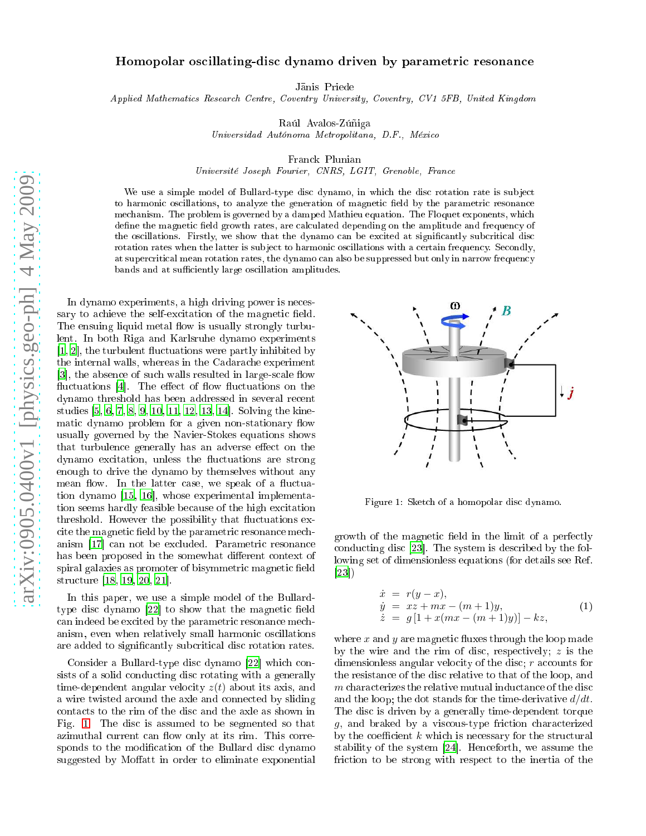## Homopolar os
illating-dis dynamo driven by parametri resonan
e

Janis Priede

Applied Mathemati
s Resear
h Centre, Coventry University, Coventry, CV1 5FB, United Kingdom

Raúl Avalos-Zúñiga

Universidad Autónoma Metropolitana, D.F., Méxi
o

Fran
k Plunian

Université Joseph Fourier, CNRS, LGIT, Grenoble, Fran
e

We use a simple model of Bullard-type disc dynamo, in which the disc rotation rate is subject to harmonic oscillations, to analyze the generation of magnetic field by the parametric resonance mechanism. The problem is governed by a damped Mathieu equation. The Floquet exponents, which define the magnetic field growth rates, are calculated depending on the amplitude and frequency of the oscillations. Firstly, we show that the dynamo can be excited at significantly subcritical disc rotation rates when the latter is subject to harmonic oscillations with a certain frequency. Secondly, at supercritical mean rotation rates, the dynamo can also be suppressed but only in narrow frequency bands and at sufficiently large oscillation amplitudes.

In dynamo experiments, a high driving power is ne
essary to achieve the self-excitation of the magnetic field. The ensuing liquid metal flow is usually strongly turbulent. In both Riga and Karlsruhe dynamo experiments  $[1, 2]$  $[1, 2]$  $[1, 2]$  $[1, 2]$ , the turbulent fluctuations were partly inhibited by the internal walls, whereas in the Cadarache experiment [3], the absence of such walls resulted in large-scale flow fluctuations  $[4]$  $[4]$ . The effect of flow fluctuations on the dynamo threshold has been addressed in several recent studies  $[5, 6, 7, 8, 9, 10, 11, 12, 13, 14]$  $[5, 6, 7, 8, 9, 10, 11, 12, 13, 14]$  $[5, 6, 7, 8, 9, 10, 11, 12, 13, 14]$  $[5, 6, 7, 8, 9, 10, 11, 12, 13, 14]$  $[5, 6, 7, 8, 9, 10, 11, 12, 13, 14]$  $[5, 6, 7, 8, 9, 10, 11, 12, 13, 14]$  $[5, 6, 7, 8, 9, 10, 11, 12, 13, 14]$  $[5, 6, 7, 8, 9, 10, 11, 12, 13, 14]$  $[5, 6, 7, 8, 9, 10, 11, 12, 13, 14]$  $[5, 6, 7, 8, 9, 10, 11, 12, 13, 14]$  $[5, 6, 7, 8, 9, 10, 11, 12, 13, 14]$  $[5, 6, 7, 8, 9, 10, 11, 12, 13, 14]$  $[5, 6, 7, 8, 9, 10, 11, 12, 13, 14]$  $[5, 6, 7, 8, 9, 10, 11, 12, 13, 14]$  $[5, 6, 7, 8, 9, 10, 11, 12, 13, 14]$  $[5, 6, 7, 8, 9, 10, 11, 12, 13, 14]$  $[5, 6, 7, 8, 9, 10, 11, 12, 13, 14]$  $[5, 6, 7, 8, 9, 10, 11, 12, 13, 14]$  $[5, 6, 7, 8, 9, 10, 11, 12, 13, 14]$  $[5, 6, 7, 8, 9, 10, 11, 12, 13, 14]$ . Solving the kinematic dynamo problem for a given non-stationary flow usually governed by the Navier-Stokes equations shows that turbulence generally has an adverse effect on the dynamo excitation, unless the fluctuations are strong enough to drive the dynamo by themselves without any mean flow. In the latter case, we speak of a fluctuation dynamo  $[15, 16]$  $[15, 16]$  $[15, 16]$  $[15, 16]$ , whose experimental implementation seems hardly feasible because of the high excitation threshold. However the possibility that fluctuations excite the magnetic field by the parametric resonance mechanism [17] can not be excluded. Parametric resonance has been proposed in the somewhat different context of spiral galaxies as promoter of bisymmetric magnetic field structure [\[18,](#page-4-17) [19,](#page-4-18) [20,](#page-4-19) 21].

In this paper, we use a simple model of the Bullardtype disc dynamo  $[22]$  $[22]$  to show that the magnetic field can indeed be excited by the parametric resonance mechanism, even when relatively small harmoni os
illations are added to significantly subcritical disc rotation rates.

Consider a Bullard-type disc dynamo [\[22](#page-4-21)] which consists of a solid conducting disc rotating with a generally time-dependent angular velocity  $z(t)$  about its axis, and a wire twisted around the axle and connected by sliding contacts to the rim of the disc and the axle as shown in Fig. [1.](#page-1-0) The disc is assumed to be segmented so that azimuthal current can flow only at its rim. This corresponds to the modification of the Bullard disc dynamo suggested by Moffatt in order to eliminate exponential



<span id="page-1-0"></span>Figure 1: Sket
h of a homopolar dis dynamo.

growth of the magnetic field in the limit of a perfectly conducting disc  $[23]$  $[23]$ . The system is described by the following set of dimensionless equations (for details see Ref.  $[23]$ 

<span id="page-1-1"></span>
$$
\begin{array}{rcl}\n\dot{x} & = & r(y-x), \\
\dot{y} & = & xz + mx - (m+1)y, \\
\dot{z} & = & g\left[1 + x(mx - (m+1)y)\right] - kz,\n\end{array} \tag{1}
$$

where  $x$  and  $y$  are magnetic fluxes through the loop made by the wire and the rim of disc, respectively;  $z$  is the dimensionless angular velocity of the disc;  $r$  accounts for the resistan
e of the dis relative to that of the loop, and m characterizes the relative mutual inductance of the disc and the loop; the dot stands for the time-derivative  $d/dt$ . The disc is driven by a generally time-dependent torque g, and braked by a viscous-type friction characterized by the coefficient  $k$  which is necessary for the structural stability of the system  $[24]$  $[24]$ . Henceforth, we assume the friction to be strong with respect to the inertia of the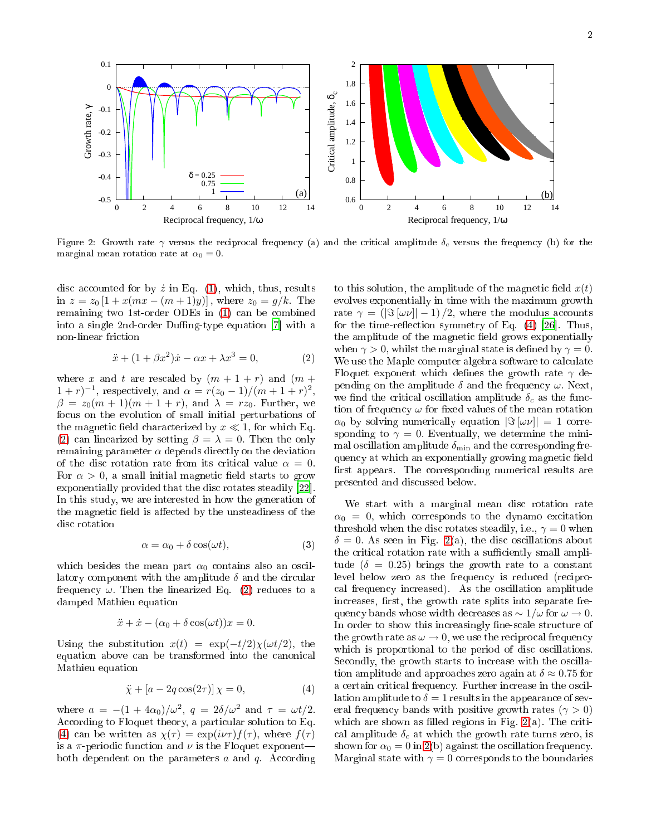

<span id="page-2-2"></span>Figure 2: Growth rate  $\gamma$  versus the reciprocal frequency (a) and the critical amplitude  $\delta_c$  versus the frequency (b) for the marginal mean rotation rate at  $\alpha_0 = 0$ .

disc accounted for by  $\dot{z}$  in Eq. [\(1\)](#page-1-1), which, thus, results in  $z = z_0 [1 + x(mx - (m+1)y)]$ , where  $z_0 = g/k$ . The remaining two 1st-order ODEs in [\(1\)](#page-1-1) an be ombined into a single 2nd-order Duffing-type equation  $[7]$  $[7]$  with a non-linear fri
tion

<span id="page-2-0"></span>
$$
\ddot{x} + (1 + \beta x^2)\dot{x} - \alpha x + \lambda x^3 = 0,\tag{2}
$$

where x and t are rescaled by  $(m + 1 + r)$  and  $(m +$  $(1+r)^{-1}$ , respectively, and  $\alpha = r(z_0-1)/(m+1+r)^2$ ,  $\beta = z_0(m+1)(m+1+r)$ , and  $\lambda = rz_0$ . Further, we focus on the evolution of small initial perturbations of the magnetic field characterized by  $x \ll 1$ , for which Eq. [\(2\)](#page-2-0) can linearized by setting  $\beta = \lambda = 0$ . Then the only remaining parameter  $\alpha$  depends directly on the deviation of the disc rotation rate from its critical value  $\alpha = 0$ . For  $\alpha > 0$ , a small initial magnetic field starts to grow exponentially provided that the disc rotates steadily [22]. In this study, we are interested in how the generation of the magnetic field is affected by the unsteadiness of the dis rotation

<span id="page-2-3"></span>
$$
\alpha = \alpha_0 + \delta \cos(\omega t),\tag{3}
$$

which besides the mean part  $\alpha_0$  contains also an oscillatory component with the amplitude  $\delta$  and the circular frequency  $\omega$ . Then the linearized Eq. [\(2\)](#page-2-0) reduces to a damped Mathieu equation

$$
\ddot{x} + \dot{x} - (\alpha_0 + \delta \cos(\omega t))x = 0.
$$

Using the substitution  $x(t) = \exp(-t/2)\chi(\omega t/2)$ , the equation above can be transformed into the canonical Mathieu equation

<span id="page-2-1"></span>
$$
\ddot{\chi} + [a - 2q \cos(2\tau)] \chi = 0,\tag{4}
$$

where  $a = -(1 + 4\alpha_0)/\omega^2$ ,  $q = 2\delta/\omega^2$  and  $\tau = \omega t/2$ . According to Floquet theory, a particular solution to Eq. [\(4\)](#page-2-1) can be written as  $\chi(\tau) = \exp(i\nu\tau) f(\tau)$ , where  $f(\tau)$ is a  $\pi$ -periodic function and  $\nu$  is the Floquet exponentboth dependent on the parameters  $a$  and  $q$ . According

to this solution, the amplitude of the magnetic field  $x(t)$ evolves exponentially in time with the maximum growth rate  $\gamma = (|\Im(\omega \nu)| - 1)/2$ , where the modulus accounts for the time-reflection symmetry of Eq.  $(4)$  [26]. Thus, the amplitude of the magnetic field grows exponentially when  $\gamma > 0$ , whilst the marginal state is defined by  $\gamma = 0$ . We use the Maple computer algebra software to calculate Floquet exponent which defines the growth rate  $\gamma$  depending on the amplitude  $\delta$  and the frequency  $\omega$ . Next, we find the critical oscillation amplitude  $\delta_c$  as the function of frequency  $\omega$  for fixed values of the mean rotation  $\alpha_0$  by solving numerically equation  $|\Im(\omega \nu)| = 1$  corresponding to  $\gamma = 0$ . Eventually, we determine the minimal oscillation amplitude  $\delta_{\min}$  and the corresponding frequency at which an exponentially growing magnetic field first appears. The corresponding numerical results are presented and dis
ussed below.

We start with a marginal mean disc rotation rate  $\alpha_0 = 0$ , which corresponds to the dynamo excitation threshold when the disc rotates steadily, i.e.,  $\gamma = 0$  when  $\delta = 0$ . As seen in Fig. [2\(](#page-2-2)a), the disc oscillations about the critical rotation rate with a sufficiently small amplitude ( $\delta = 0.25$ ) brings the growth rate to a constant level below zero as the frequency is reduced (reciprocal frequency increased). As the oscillation amplitude increases, first, the growth rate splits into separate frequency bands whose width decreases as  $\sim 1/\omega$  for  $\omega \to 0$ . In order to show this increasingly fine-scale structure of the growth rate as  $\omega \to 0$ , we use the reciprocal frequency which is proportional to the period of disc oscillations. Secondly, the growth starts to increase with the oscillation amplitude and approaches zero again at  $\delta \approx 0.75$  for a certain critical frequency. Further increase in the oscillation amplitude to  $\delta = 1$  results in the appearance of several frequency bands with positive growth rates ( $\gamma > 0$ ) which are shown as filled regions in Fig.  $2(a)$  $2(a)$ . The critical amplitude  $\delta_c$  at which the growth rate turns zero, is shown for  $\alpha_0 = 0$  in [2\(](#page-2-2)b) against the oscillation frequency. Marginal state with  $\gamma = 0$  corresponds to the boundaries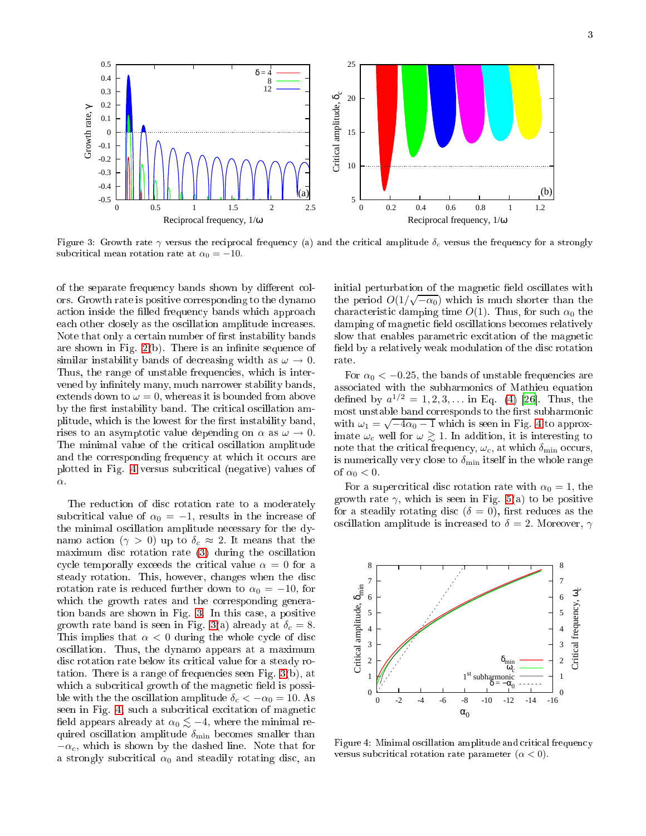

<span id="page-3-1"></span>Figure 3: Growth rate  $\gamma$  versus the reciprocal frequency (a) and the critical amplitude  $\delta_c$  versus the frequency for a strongly subcritical mean rotation rate at  $\alpha_0 = -10$ .

of the separate frequency bands shown by different colors. Growth rate is positive orresponding to the dynamo action inside the filled frequency bands which approach each other closely as the oscillation amplitude increases. Note that only a certain number of first instability bands are shown in Fig.  $2(b)$  $2(b)$ . There is an infinite sequence of similar instability bands of decreasing width as  $\omega \to 0$ . Thus, the range of unstable frequencies, which is intervened by infinitely many, much narrower stability bands, extends down to  $\omega = 0$ , whereas it is bounded from above by the first instability band. The critical oscillation amplitude, which is the lowest for the first instability band, rises to an asymptotic value depending on  $\alpha$  as  $\omega \to 0$ . The minimal value of the critical oscillation amplitude and the corresponding frequency at which it occurs are plotted in Fig. [4](#page-3-0) versus sub
riti
al (negative) values of α.

The reduction of disc rotation rate to a moderately subcritical value of  $\alpha_0 = -1$ , results in the increase of the minimal os
illation amplitude ne
essary for the dynamo action ( $\gamma > 0$ ) up to  $\delta_c \approx 2$ . It means that the maximum disc rotation rate (3) during the oscillation cycle temporally exceeds the critical value  $\alpha = 0$  for a steady rotation. This, however, hanges when the dis rotation rate is reduced further down to  $\alpha_0 = -10$ , for which the growth rates and the corresponding generation bands are shown in Fig. [3.](#page-3-1) In this ase, a positive growth rate band is seen in Fig. [3\(](#page-3-1)a) already at  $\delta_c = 8$ . This implies that  $\alpha < 0$  during the whole cycle of disc os
illation. Thus, the dynamo appears at a maximum disc rotation rate below its critical value for a steady rotation. There is a range of frequencies seen Fig.  $3(b)$  $3(b)$ , at which a subcritical growth of the magnetic field is possible with the the oscillation amplitude  $\delta_c < -\alpha_0 = 10$ . As seen in Fig. [4,](#page-3-0) such a subcritical excitation of magnetic field appears already at  $\alpha_0 \lesssim -4$ , where the minimal required oscillation amplitude  $\delta_{\min}$  becomes smaller than  $-\alpha_c$ , which is shown by the dashed line. Note that for a strongly subcritical  $\alpha_0$  and steadily rotating disc, an

initial perturbation of the magnetic field oscillates with the period  $O(1/\sqrt{\alpha_0})$  which is much shorter than the characteristic damping time  $O(1)$ . Thus, for such  $\alpha_0$  the damping of magnetic field oscillations becomes relatively slow that enables parametric excitation of the magnetic field by a relatively weak modulation of the disc rotation rate.

For  $\alpha_0 < -0.25$ , the bands of unstable frequencies are asso
iated with the subharmoni
s of Mathieu equation defined by  $a^{1/2} = 1, 2, 3, ...$  in Eq. [\(4\)](#page-2-1) [\[26](#page-4-24)]. Thus, the most unstable band corresponds to the first subharmonic with  $\omega_1 = \sqrt{-4\alpha_0 - 1}$  $\omega_1 = \sqrt{-4\alpha_0 - 1}$  $\omega_1 = \sqrt{-4\alpha_0 - 1}$  which is seen in Fig. 4 to approximate  $\omega_c$  well for  $\omega \gtrsim 1$ . In addition, it is interesting to note that the critical frequency,  $\omega_c$ , at which  $\delta_{\min}$  occurs, is numerically very close to  $\delta_{\min}$  itself in the whole range of  $\alpha_0 < 0$ .

For a supercritical disc rotation rate with  $\alpha_0 = 1$ , the growth rate  $\gamma$ , which is seen in Fig. [5\(](#page-4-25)a) to be positive for a steadily rotating disc  $(\delta = 0)$ , first reduces as the oscillation amplitude is increased to  $\delta = 2$ . Moreover,  $\gamma$ 



<span id="page-3-0"></span>Figure 4: Minimal oscillation amplitude and critical frequency versus subcritical rotation rate parameter  $(\alpha < 0)$ .